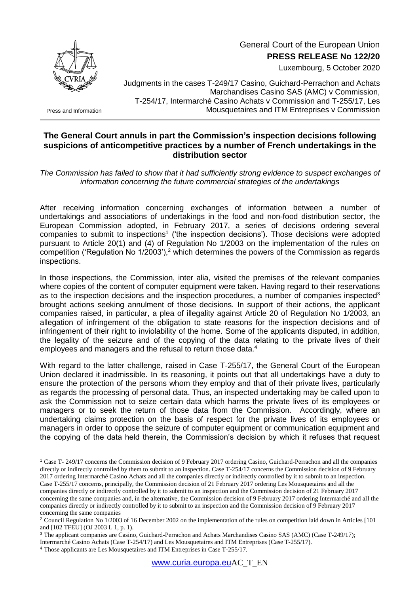

Press and Information

<u>.</u>

 General Court of the European Union **PRESS RELEASE No 122/20**

Luxembourg, 5 October 2020

Judgments in the cases T-249/17 Casino, Guichard-Perrachon and Achats Marchandises Casino SAS (AMC) v Commission, T-254/17, Intermarché Casino Achats v Commission and T-255/17, Les Mousquetaires and ITM Entreprises v Commission

## **The General Court annuls in part the Commission's inspection decisions following suspicions of anticompetitive practices by a number of French undertakings in the distribution sector**

*The Commission has failed to show that it had sufficiently strong evidence to suspect exchanges of information concerning the future commercial strategies of the undertakings*

After receiving information concerning exchanges of information between a number of undertakings and associations of undertakings in the food and non-food distribution sector, the European Commission adopted, in February 2017, a series of decisions ordering several companies to submit to inspections<sup>1</sup> ('the inspection decisions'). Those decisions were adopted pursuant to Article 20(1) and (4) of Regulation No 1/2003 on the implementation of the rules on competition ('Regulation No  $1/2003'$ ),<sup>2</sup> which determines the powers of the Commission as regards inspections.

In those inspections, the Commission, inter alia, visited the premises of the relevant companies where copies of the content of computer equipment were taken. Having regard to their reservations as to the inspection decisions and the inspection procedures, a number of companies inspected<sup>3</sup> brought actions seeking annulment of those decisions. In support of their actions, the applicant companies raised, in particular, a plea of illegality against Article 20 of Regulation No 1/2003, an allegation of infringement of the obligation to state reasons for the inspection decisions and of infringement of their right to inviolability of the home. Some of the applicants disputed, in addition, the legality of the seizure and of the copying of the data relating to the private lives of their employees and managers and the refusal to return those data.<sup>4</sup>

With regard to the latter challenge, raised in Case T-255/17, the General Court of the European Union declared it inadmissible. In its reasoning, it points out that all undertakings have a duty to ensure the protection of the persons whom they employ and that of their private lives, particularly as regards the processing of personal data. Thus, an inspected undertaking may be called upon to ask the Commission not to seize certain data which harms the private lives of its employees or managers or to seek the return of those data from the Commission. Accordingly, where an undertaking claims protection on the basis of respect for the private lives of its employees or managers in order to oppose the seizure of computer equipment or communication equipment and the copying of the data held therein, the Commission's decision by which it refuses that request

<sup>1</sup> Case T- 249/17 concerns the Commission decision of 9 February 2017 ordering Casino, Guichard-Perrachon and all the companies directly or indirectly controlled by them to submit to an inspection. Case T-254/17 concerns the Commission decision of 9 February 2017 ordering Intermarché Casino Achats and all the companies directly or indirectly controlled by it to submit to an inspection. Case T-255/17 concerns, principally, the Commission decision of 21 February 2017 ordering Les Mousquetaires and all the companies directly or indirectly controlled by it to submit to an inspection and the Commission decision of 21 February 2017 concerning the same companies and, in the alternative, the Commission decision of 9 February 2017 ordering Intermarché and all the companies directly or indirectly controlled by it to submit to an inspection and the Commission decision of 9 February 2017

concerning the same companies <sup>2</sup> Council Regulation No 1/2003 of 16 December 2002 on the implementation of the rules on competition laid down in Articles [101 and [102 TFEU] (OJ 2003 L 1, p. 1).

<sup>3</sup> The applicant companies are Casino, Guichard-Perrachon and Achats Marchandises Casino SAS (AMC) (Case T-249/17);

Intermarché Casino Achats (Case T-254/17) and Les Mousquetaires and ITM Entreprises (Case T-255/17).

<sup>4</sup> Those applicants are Les Mousquetaires and ITM Entreprises in Case T-255/17.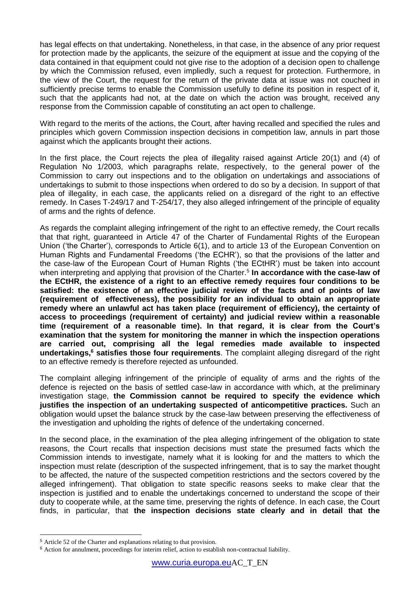has legal effects on that undertaking. Nonetheless, in that case, in the absence of any prior request for protection made by the applicants, the seizure of the equipment at issue and the copying of the data contained in that equipment could not give rise to the adoption of a decision open to challenge by which the Commission refused, even impliedly, such a request for protection. Furthermore, in the view of the Court, the request for the return of the private data at issue was not couched in sufficiently precise terms to enable the Commission usefully to define its position in respect of it, such that the applicants had not, at the date on which the action was brought, received any response from the Commission capable of constituting an act open to challenge.

With regard to the merits of the actions, the Court, after having recalled and specified the rules and principles which govern Commission inspection decisions in competition law, annuls in part those against which the applicants brought their actions.

In the first place, the Court rejects the plea of illegality raised against Article 20(1) and (4) of Regulation No 1/2003, which paragraphs relate, respectively, to the general power of the Commission to carry out inspections and to the obligation on undertakings and associations of undertakings to submit to those inspections when ordered to do so by a decision. In support of that plea of illegality, in each case, the applicants relied on a disregard of the right to an effective remedy. In Cases T-249/17 and T-254/17, they also alleged infringement of the principle of equality of arms and the rights of defence.

As regards the complaint alleging infringement of the right to an effective remedy, the Court recalls that that right, guaranteed in Article 47 of the Charter of Fundamental Rights of the European Union ('the Charter'), corresponds to Article 6(1), and to article 13 of the European Convention on Human Rights and Fundamental Freedoms ('the ECHR'), so that the provisions of the latter and the case-law of the European Court of Human Rights ('the ECtHR') must be taken into account when interpreting and applying that provision of the Charter.<sup>5</sup> In accordance with the case-law of **the ECtHR, the existence of a right to an effective remedy requires four conditions to be satisfied: the existence of an effective judicial review of the facts and of points of law (requirement of effectiveness), the possibility for an individual to obtain an appropriate remedy where an unlawful act has taken place (requirement of efficiency), the certainty of access to proceedings (requirement of certainty) and judicial review within a reasonable time (requirement of a reasonable time). In that regard, it is clear from the Court's examination that the system for monitoring the manner in which the inspection operations are carried out, comprising all the legal remedies made available to inspected undertakings,<sup>6</sup> satisfies those four requirements**. The complaint alleging disregard of the right to an effective remedy is therefore rejected as unfounded.

The complaint alleging infringement of the principle of equality of arms and the rights of the defence is rejected on the basis of settled case-law in accordance with which, at the preliminary investigation stage, **the Commission cannot be required to specify the evidence which justifies the inspection of an undertaking suspected of anticompetitive practices.** Such an obligation would upset the balance struck by the case-law between preserving the effectiveness of the investigation and upholding the rights of defence of the undertaking concerned.

In the second place, in the examination of the plea alleging infringement of the obligation to state reasons, the Court recalls that inspection decisions must state the presumed facts which the Commission intends to investigate, namely what it is looking for and the matters to which the inspection must relate (description of the suspected infringement, that is to say the market thought to be affected, the nature of the suspected competition restrictions and the sectors covered by the alleged infringement). That obligation to state specific reasons seeks to make clear that the inspection is justified and to enable the undertakings concerned to understand the scope of their duty to cooperate while, at the same time, preserving the rights of defence. In each case, the Court finds, in particular, that **the inspection decisions state clearly and in detail that the** 

1

<sup>5</sup> Article 52 of the Charter and explanations relating to that provision.

<sup>6</sup> Action for annulment, proceedings for interim relief, action to establish non-contractual liability.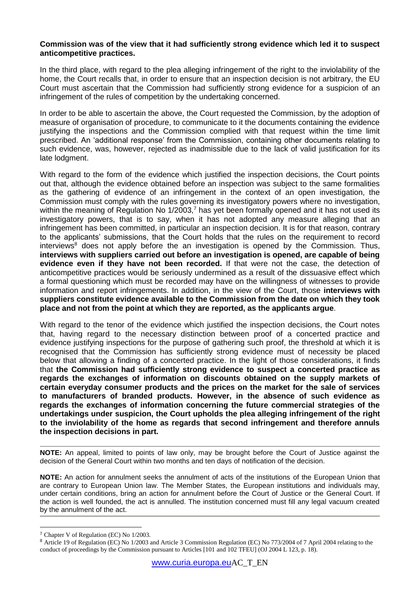## **Commission was of the view that it had sufficiently strong evidence which led it to suspect anticompetitive practices.**

In the third place, with regard to the plea alleging infringement of the right to the inviolability of the home, the Court recalls that, in order to ensure that an inspection decision is not arbitrary, the EU Court must ascertain that the Commission had sufficiently strong evidence for a suspicion of an infringement of the rules of competition by the undertaking concerned.

In order to be able to ascertain the above, the Court requested the Commission, by the adoption of measure of organisation of procedure, to communicate to it the documents containing the evidence justifying the inspections and the Commission complied with that request within the time limit prescribed. An 'additional response' from the Commission, containing other documents relating to such evidence, was, however, rejected as inadmissible due to the lack of valid justification for its late lodgment.

With regard to the form of the evidence which justified the inspection decisions, the Court points out that, although the evidence obtained before an inspection was subject to the same formalities as the gathering of evidence of an infringement in the context of an open investigation, the Commission must comply with the rules governing its investigatory powers where no investigation, within the meaning of Regulation No  $1/2003$ ,<sup>7</sup> has yet been formally opened and it has not used its investigatory powers, that is to say, when it has not adopted any measure alleging that an infringement has been committed, in particular an inspection decision. It is for that reason, contrary to the applicants' submissions, that the Court holds that the rules on the requirement to record  $interviews<sup>8</sup>$  does not apply before the an investigation is opened by the Commission. Thus, **interviews with suppliers carried out before an investigation is opened, are capable of being evidence even if they have not been recorded.** If that were not the case, the detection of anticompetitive practices would be seriously undermined as a result of the dissuasive effect which a formal questioning which must be recorded may have on the willingness of witnesses to provide information and report infringements. In addition, in the view of the Court, those **interviews with suppliers constitute evidence available to the Commission from the date on which they took place and not from the point at which they are reported, as the applicants argue**.

With regard to the tenor of the evidence which justified the inspection decisions, the Court notes that, having regard to the necessary distinction between proof of a concerted practice and evidence justifying inspections for the purpose of gathering such proof, the threshold at which it is recognised that the Commission has sufficiently strong evidence must of necessity be placed below that allowing a finding of a concerted practice. In the light of those considerations, it finds that **the Commission had sufficiently strong evidence to suspect a concerted practice as regards the exchanges of information on discounts obtained on the supply markets of certain everyday consumer products and the prices on the market for the sale of services to manufacturers of branded products. However, in the absence of such evidence as regards the exchanges of information concerning the future commercial strategies of the undertakings under suspicion, the Court upholds the plea alleging infringement of the right to the inviolability of the home as regards that second infringement and therefore annuls the inspection decisions in part.** 

**NOTE:** An appeal, limited to points of law only, may be brought before the Court of Justice against the decision of the General Court within two months and ten days of notification of the decision.

**NOTE:** An action for annulment seeks the annulment of acts of the institutions of the European Union that are contrary to European Union law. The Member States, the European institutions and individuals may, under certain conditions, bring an action for annulment before the Court of Justice or the General Court. If the action is well founded, the act is annulled. The institution concerned must fill any legal vacuum created by the annulment of the act.

1

<sup>7</sup> Chapter V of Regulation (EC) No 1/2003.

<sup>8</sup> Article 19 of Regulation (EC) No 1/2003 and Article 3 Commission Regulation (EC) No 773/2004 of 7 April 2004 relating to the conduct of proceedings by the Commission pursuant to Articles [101 and 102 TFEU] (OJ 2004 L 123, p. 18).